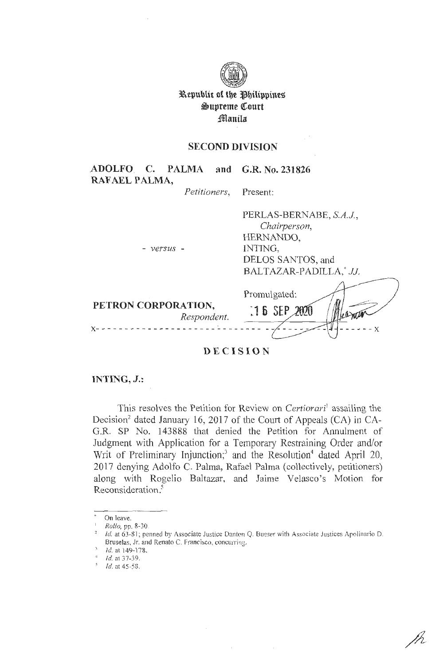

**ll\.epublic of tbe ~btlippine% ~upreme QCourt fflanila** 

## **SECOND DIVISION**

**ADOLFO C. PALMA and G.R. No. 231826 RAFAEL PALMA,** 

- *versus* -

*Petitioners,* Present:

PERLAS-BERNABE, *S.A.J, Chairperson,*  HERNANDO, INTING, DELOS SANTOS, and BALTAZAR-PADILLA,• JJ.

| PETRON CORPORATION,<br>Respondent. | Promulgated:<br>$16$ SEP |  |
|------------------------------------|--------------------------|--|
|------------------------------------|--------------------------|--|

## **DECISION**

### **INTING, J.:**

This resolves the Petition for Review on *Certiorari'* assailing the Decision<sup>2</sup> dated January 16, 2017 of the Court of Appeals (CA) in CA-G.R. SP No. 143888 that denied the Petition for Annulment of Judgment with Application for a Temporary Restraining Order and/or Writ of Preliminary Injunction;<sup>3</sup> and the Resolution<sup>4</sup> dated April 20, 2017 denying Adolfo C. Palma, Rafael Palma (collectively, petitioners) along with Rogelio Ba1tazar, and Jaime Velasco's Motion for Reconsideration.<sup>5</sup>

 $\mathcal{L}$ 

 $\bar{\mathcal{A}}$ 

On leave.

<sup>1</sup>*Rollo,* pp. 8-30.

Id. at 63-81; penned by Associate Justice Danton Q. Bueser with Associate Justices Apolinario D. Bruselas, Jr. and Renato C. Francisco, concurring.

Id. at 149-178.

 $4$  Id. at 37-39.

 $1/3$ . at 45-58.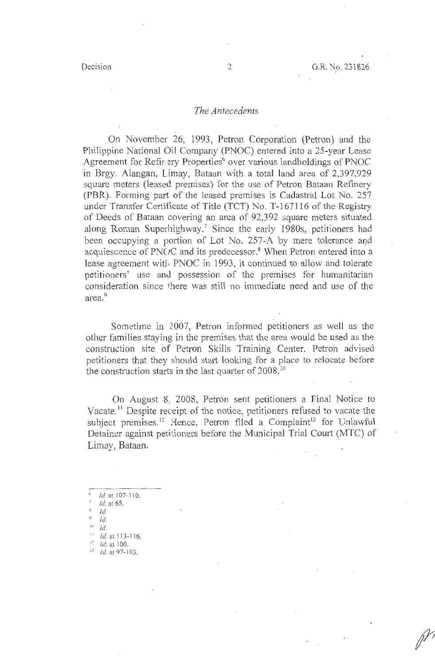#### *The Antecedents*

On November 26, 1993, Petron Corporation (Petron) and the Philippine National Oil Company (PNOC) entered into a 25-year Lease Agreement for Refinery Properties<sup>6</sup> over various landholdings of PNOC in Brgy. Alangan, Limay, Bataan with a total land area of 2,397,929 square meters (leased premises) for the use of Petron Bataan Refinery (PBR). Forming part of the leased premises is Cadastral Lot No. 257 under Transfer Certificate of Title (TCT) No. T-167116 of the Registry of Deeds of Bataan covering an area of 92,392 square meters situated along Roman Superhighway.7 Since the early 1980s, petitioners had been occupying a portion of Lot No. 257-A by mere tolerance and acquiescence of PNOC and its predecessor.<sup>8</sup> When Petron entered into a lease agreement with PNOC in 1993, it continued to allow and tolerate petitioners' use and possession of the premises for humanitarian consideration since there was still no immediate need and use of the area.<sup>9</sup>

Sometime in 2007, Petron informed petitioners as well as the other families staying in the premises that the area would be used as the construction site of Petron Skills Training Center. Petron advised petitioners that they should start looking for a place to relocate before the construction starts in the last quarter of 2008.<sup>10</sup>

On August 8:. 2008, Petron sent petitioners a Final Notice to Vacate.<sup>11</sup> Despite receipt of the notice, petitioners refused to vacate the subject premises.<sup>12</sup> Hence, Petron filed a Complaint<sup>13</sup> for Unlawful Detainer against petitioners before the Municipal Trial Court (MTC) of Limay, Bataan.

- Id.
- '' *lei.*

 $11$  *Id.* at 113-116.

1 Id. at 97-103.

Id. at 107-110.

*<sup>1</sup>*Id. at 65.

 $Id.$ 

 $12$  *Id.* at 100.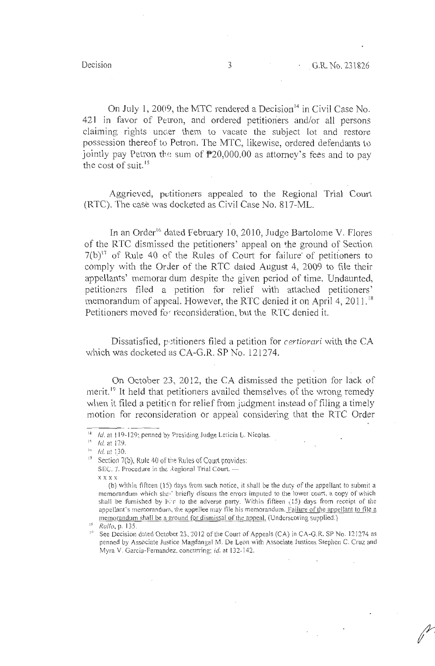On July 1, 2009, the MTC rendered a Decision $14$  in Civil Case No. 421 in favor of Petron, and ordered petitioners and/or all persons claiming rights under them to vacate the subject lot and restore possession thereof to Petron. The MTC, likewise, ordered defendants to jointly pay Petron the sum of  $P20,000.00$  as attorney's fees and to pay the cost of suit. 15

Aggrieved, petitioners appealed to the Regional Trial Court (RTC). The case was docketed as Civil Case No. 817-ML.

In an Order<sup>16</sup> dated February 10, 2010, Judge Bartolome V. Flores of the RTC dismissed the petitioners' appeal on the ground of Section  $7(b)^{17}$  of Rule 40 of the Rules of Court for failure of petitioners to comply with the Order of the RTC dated August 4, 2009 to file their appellants' memorar dum despite the given period of time. Undaunted, petitioners filed a petition for relief with attached petitioners' memorandum of appeal. However, the RTC denied it on April 4, 2011.<sup>18</sup> Petitioners moved for reconsideration, but the RTC denied it.

Dissatisfied, petitioners filed a petition for *certiorari* with the CA which was docketed as CA-G.R. SP No. 121274.

On October 23, 2012, the CA dismissed the petition for lack of merit.<sup>19</sup> It held that petitioners availed themselves of the wrong remedy when it filed a petition for relief from judgment instead of filing a timely motion for reconsideration or appeal considering that the RTC Order

 $H = Id$ , at 119-129; penned by Presiding Judge Leticia L. Nicolas.

 $15$  *Id.* at 129.

 $16$  *Id.* at 130.

<sup>&</sup>lt;sup>17</sup> Section 7(b), Rule 40 of the Rules of Court provides: SEC. 7. Procedure in the Regional Trial Court. xxxx

<sup>(</sup>b) within fifteen (15) days from such notice, it shall be the duty of the appellant to submit a memorandum which sha.' briefly discuss the errors imputed to the lower court, a copy of which shall be furnished by him to the adverse party. Within fifteen (15) days from receipt of the appellant's memorandum, the appellee may file his memorandum. Failure of the appellant to file a memorandum shall be a ground for dismissal of the appeal. (Underscoring supplied.)<br><sup>18</sup> *Rollo*, p. 135.

<sup>&</sup>lt;sup>19</sup> See Decision dated October 23, 2012 of the Court of Appeals (CA) in CA-G.R. SP No. 121274 as penned by Associate Justice Magdangal M. De Leon with Associate Justices Stephen C. Cruz and Myra V. Garcia-Fernandez, concurring; *id.* at 132-142.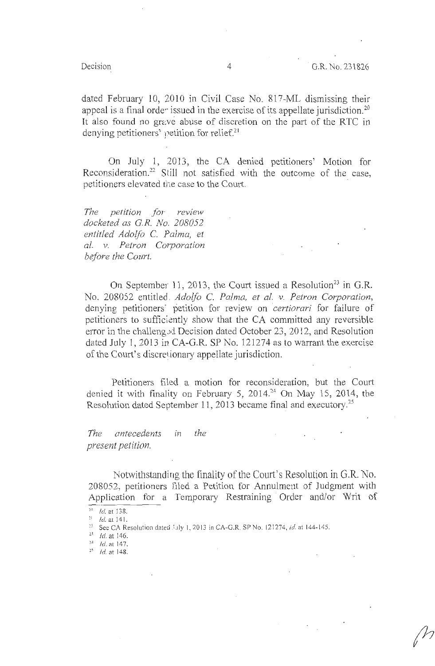dated February 10, 2010 in Civil Case No. 817-ML dismissing their appeal is a final orde<sup> $\cdot$ </sup> issued in the exercise of its appellate jurisdiction.<sup>20</sup> It also found no grave abuse of discretion on the part of the RTC in denying petitioners' petition for relief.<sup>21</sup>

On July 1, 2013, the CA denied petitioners' Motion for Reconsideration. 22 Still not satisfied with the outcome of the case, petitioners elevated the case to the Court.

*The petition for* . *review docketed as G.R. No. 208052 entitled Adolfo* C. *Palma, et al. v. Petron Corporation before the Court.* 

On September 11, 2013, the Court issued a Resolution<sup>23</sup> in G.R. No. 208052 entitled , *Adolfo* C. *Palma, et al. v. Petron Corporation,*  denying petitioners' petition for review on *certiorari* for failure of petitioners to sufficiently show that the CA committed any reversible error in the challeng,:d Decision dated October 23, 2012, and Resolution dated July 1, 2013 in CA-G.R. SP No. 121274 as to warrant the exercise of the Court's discretionary appellate jurisdiction.

Petitioners filed a motion for reconsideration, but the Court denied it with finality on February 5, 2014.<sup>24</sup> On May 15, 2014, the Resolution dated September 11, 2013 became final and executory. 25

*The antecedents in the present petition.* 

Notwithstanding the finality of the Court's Resolution in G.R. No. 208052, petitioners filed a Petition for Annulment of Judgment with Application for a Temporary Restraining Order and/or Writ of

 $^{20}$  *Id.* at 138.

<sup>21</sup> *Id.* at 141.<br><sup>21</sup> *Id.* at 141.<br><sup>22</sup> See CA Resolution dated *i*.ily 1, 2013 in CA-G.R. SP No. 121274, *id.* at 144-145.

 $^{23}$  Id. at 146.

 $24$  *Id.* at 147.

 $25$  *Id.* at 148.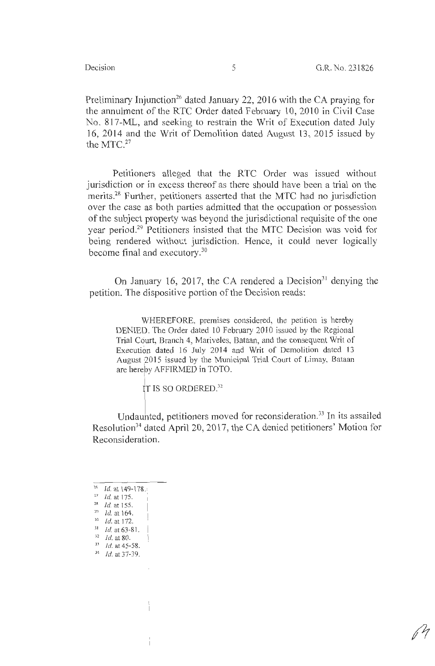Preliminary Injunction<sup>26</sup> dated January 22, 2016 with the CA praying for the annulment of the RTC Order dated February 10, 2010 in Civil Case No. 817-ML, and seeking to restrain the Writ of Execution dated July 16, 2014 and the Writ of Demolition dated August 13, 2015 issued by the MTC.<sup>27</sup>

Petitioners alleged that the RTC Order was issued without jurisdiction or in excess thereof as there should have been a trial on the merits.28 Further, petitioners asserted that the MTC had no jurisdiction over the case as both parties admitted that the occupation or possession of the subject property was beyond the jurisdictional requisite of the one year period.29 Petitioners insisted that the MTC Decision was void for being rendered without jurisdiction. Hence, it could never logically become final and executory.<sup>30</sup>

On January 16, 2017, the CA rendered a Decision<sup>31</sup> denying the petition. The dispositive portion of the Decision reads:

WHEREFORE, premises considered, the petition is hereby DENIED. The Order dated 10 February 2010 issued by the Regional Trial Court, Branch 4, Mariveles, Bataan, and the consequent Writ of Execution dated 16 July 2014 and Writ of Demolition dated 13 August 2015 issued by the Municipal Trial Court of Limay, Bataan are hereby AFFIRMED in TOTO.

> j<br>... TIS SO ORDERED.32

Undaunted, petitioners moved for reconsideration.<sup>33</sup> In its assailed Resolution<sup>34</sup> dated April 20, 2017, the CA denied petitioners' Motion for Reconsideration.

 $26$  *Id.* at 149-178.

<sup>&</sup>lt;sup>27</sup> *Id.* at 175.<br><sup>28</sup> *Id.* at 155.<br><sup>29</sup> *Id.* at 164.

 $30$  *Id.* at 172.

 $31$  *Id.* at 63-81.

 $\frac{32}{33}$  *Id.* at 80.<br> $\frac{33}{16}$  *Id.* at 45-58.

 $34$  *Id.* at 37-39.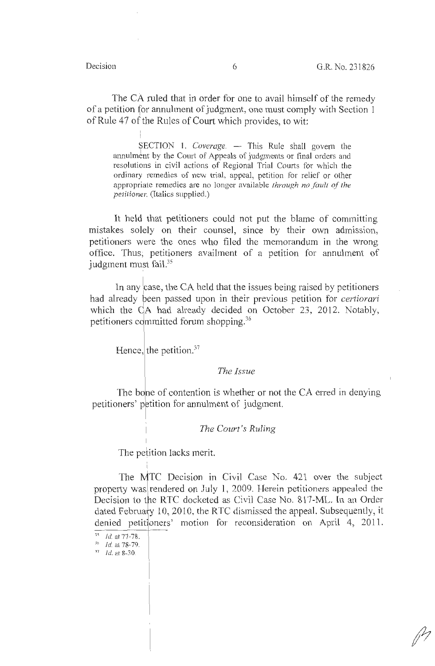The CA ruled that in order for one to avail himself of the remedy of a petition for annulment of judgment, one must comply with Section 1 of Rule 47 of the Rules of Court which provides, to wit:

I SECTION 1. *Coverage.* - This Rule shall govern the annulment by the Court of Appeals of judgments or final orders and resolutions in civil actions of Regional Trial Courts for which the ordinary remedies of new trial, appeal, petition for relief or other appropriate remedies are no longer available *through no fault of the petitionet:* (Italics supplied.)

It held that petitioners could not put the blame of committing mistakes solely on their counsel, since by their own admission, petitioners were the ones who filed the memorandum in the wrong office. Thus, petitioners availment of a petition for annulment of judgment must fail.<sup>35</sup> I

In any case, the CA held that the issues being raised by petitioners had already been passed upon in their previous petition for *certiorari* which the CA had already decided on October 23, 2012. Notably, petitioners committed forum shopping.<sup>36</sup>

Hence, the petition. $37$ 

#### *The Issue*

The bone of contention is whether or not the CA erred in denying petitioners' petition for annulment of judgment.

#### *The Court's Ruling*

The petition lacks merit.

The MTC Decision in Civil Case No. 421 over the subject property was rendered on July 1, 2009. Herein petitioners appealed the Decision to the RTC docketed as Civil Case No. 817-ML. In an Order dated February 10, 2010, the RTC dismissed the appeal. Subsequently, it denied petitioners' motion for reconsideration on April 4, 2011.

 $^{35}$  *Id.* at 77-78.<br> $^{36}$  *Id.* at 78-79.

 $^{37}$  *Id.* at 8-30.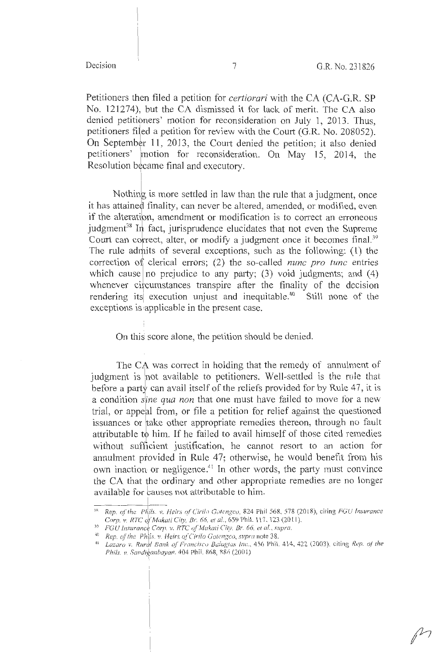Petitioners then filed a petition for *certiorari* with the CA (CA-G.R. SP No. 121274), but the CA dismissed it for lack of merit. The CA also denied petitibners' motion for reconsideration on July 1, 2013. Thus, petitioners filed a petition for review with the Court (G.R. No. 208052). On September 11, 2013, the Court denied the petition; it also denied petitioners' \motion for reconsideration. On May 15, 2014, the Resolution became final and executory.

Nothing is more settled in law than the rule that a judgment, once it has attained finality, can never be altered, amended, or modified, even if the alteration, amendment or modification is to correct an erroneous judgment<sup>38</sup> In fact, jurisprudence elucidates that not even the Supreme<br>Court can correct alter or modify a judgment once it becomes final  $39$ Court can correct, alter, or modify a judgment once it becomes final.<sup>39</sup> The rule admits of several exceptions, such as the following:  $(1)$  the correction 01 clerical errors; (2) the so-called *nunc pro tune* entries which cause no prejudice to any party; (3) void judgments; and (4) whenever circumstances transpire after the finality of the decision rendering its execution unjust and inequitable.<sup>40</sup> Still none of the exceptions is applicable in the present case.

#### On this score alone, the petition should be denied.

The CA was correct in holding that the remedy of annulment of judgment is not available to petitioners. Well-settled is the rule that before a party can avail itself of the reliefs provided for by Rule 47, it is a condition *sine qua non* that one must have failed to move for a new trial, or appeal from, or file a petition for relief against the questioned issuances or take other appropriate remedies thereon, through no fault attributable to him. If he failed to avail himself of those cited remedies without sufficient justification, he cannot resort to an action for annulment provided in Rule 47; otherwise, he would benefit from his own inaction or negligence.<sup>41</sup> In other words, the party must convince the CA that *ihe* ordinary and other appropriate remedies are no longer available for causes not attributable to him.

<sup>&</sup>lt;sup>38</sup> *Rep. of the Phils. v. Heirs of Cirilo Gotengeo, 824 Phil 568, 578 (2018), citing FGU Insurance Corp. v. RTC of Makati City, Br. 66, et al., 659 Phil. 117, 123 (2011). FGU Insurance Corp. v. RTC of Makati City. Br. 66, et al., supra.* 

<sup>&</sup>lt;sup>40</sup> Rep. of the Phils. *v. Heirs of Cirilo Gotengco, supra* note 38.<br><sup>41</sup> *Lazaro v. Rural Bank of Francisco Balagtas Inc.*, 456 Phil.<br>*Philo II. Sandigaphayan 404 Phil 868 886 (2003)* <sup>41</sup> Lazaro v. Rural Bank of Francisco Balagtas Inc., 456 Phil. 414, 422 (2003). citing *Rep. of the Phils. v. Sandiganbayan.* 404 Phil. 868, 886 (2001)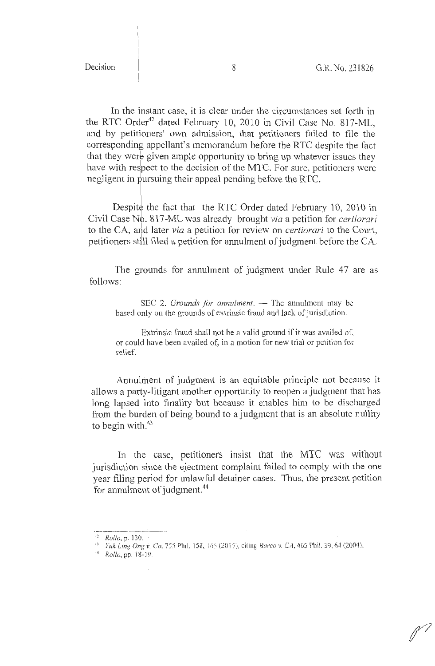In the instant case, it is clear under the circumstances set forth in the RTC Order<sup>42</sup> dated February 10, 2010 in Civil Case No. 817-ML, and by petitioners' own admission, that petitioners failed to file the corresponding appellant's memorandum before the RTC despite the fact that they were given ample opportunity to bring up whatever issues they have with respect to the decision of the MTC. For sure, petitioners were negligent in pursuing their appeal pending before the RTC.

Despite the fact that the RTC Order dated February 10, 2010 in Civil Case Nb. 817-ML was already brought *via* a petition for *certiorari*  to the CA, and later *via* a petition for review on *certiorari* to the Court, petitioners still filed a petition for annulment of judgment before the CA.

The grounds for annulment of judgment under Rule 47 are as follows:

SEC 2. *Grounds for annulment*. - The annulment may be based only on the grounds of extrinsic fraud and lack of jurisdiction.

Extrinsic fraud shall not be a valid ground if it was availed of, or could have been availed of, in a motion for new trial or petition for relief.

Annulment of judgment is an equitable principle not because it allows a party-litigant another opportunity to reopen a judgment that has long lapsed into finality but because it enables him to be discharged from the burden of being bound to a judgment that is an absolute nullity to begin with. $43$ 

In the case, petitioners insist that the MIC was without jurisdiction since the ejectment complaint failed to comply with the one year filing period for unlawful detainer cases. Thus, the present petition for annulment of judgment.<sup>44</sup>

~,, *Ro!/o,* pp. 18-1? ·

 $\frac{1}{42}$  Rollo, p. 130.

<sup>&</sup>lt;sup>43</sup> *Yuk Ling Ong v. Co, 755 Phil. 158, 165 (2015), citing Barco v. CA, 465 Phil. 39, 64 (2004).*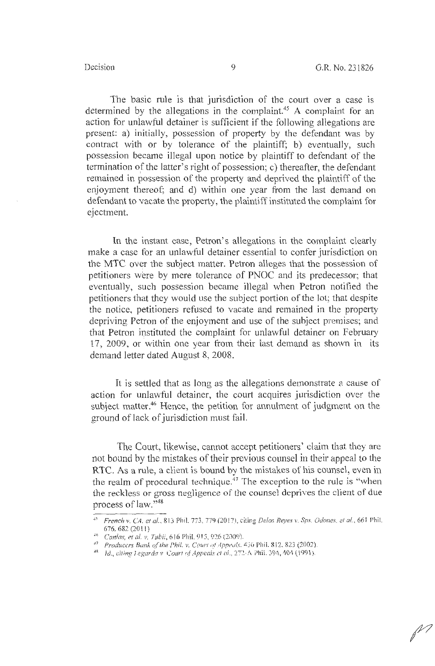The basic rule is that jurisdiction of the court over a case is determined by the allegations in the complaint.<sup>45</sup> A complaint for an action for unlawful detainer is sufficient if the following allegations are present: a) initially, possession of property by the defendant was by contract with or by tolerance of the plaintiff; b) eventually, such possession became illegal upon notice by plaintiff to defendant of the termination of the latter's right of possession; c) thereafter, the defendant remained in possession of the property and deprived the plaintiff of the enjoyment thereof; and d) within one year from the last demand on defendant to vacate the property, the plaintiff instituted the complaint for ejectment.

In the instant case, Petron's allegations in the complaint clearly make a case for an unlawful detainer essential to confer jurisdiction on the MTC over the subject matter. Petron alleges that the possession of petitioners were by mere tolerance of PNOC and its predecessor; that eventually, such possession became illegal when Petron notified the petitioners that they would use the subject portion of the lot; that despite the notice, petitioners refused to vacate and remained in the property depriving Petron of the enjoyment and use of the subject premises; and that Petron instituted the complaint for unlawful detainer on February 17, 2009, or within one year from their last demand as shown in its demand letter dated August 8, 2008.

It is settled that as long as the allegations demonstrate a cause of action for unlawful detainer, the court acquires jurisdiction over the subject matter.<sup>46</sup> Hence, the petition for annulment of judgment on the ground of lack of jurisdiction must fail.

The Court, likewise, cannot accept petitioners' claim that they are not bound by the mistakes of their previous counsel in their appeal to the RTC. As a rule, a client is bound by the mistakes of his counsel, even in the realm of procedural technique. 47 The exception to the rule is "when the reckless or gross negligence of the counsel deprives the client of due process of law."<sup>48</sup>

<sup>45</sup>*French v. CA. et al.,* 813 Phil. 773, Ti9(20 17), citir.g *Delos Reyes v. Sps. Odoncs.* 21 *al.,* 661 Phil. 676. 682 (2011)<br><sup>46</sup> *Canlas, et al. v. Tubii,* 616 Phil. 915, 926 (2009).

<sup>&</sup>lt;sup>47</sup> Producers Bank of the Phil. v. Court of Appeals.  $436$  Phil. 812, 823 (2002).<br><sup>48</sup> Id., citing Legarda v. Court of Appeals et al., 272. A Phil. 394, 404 (1991).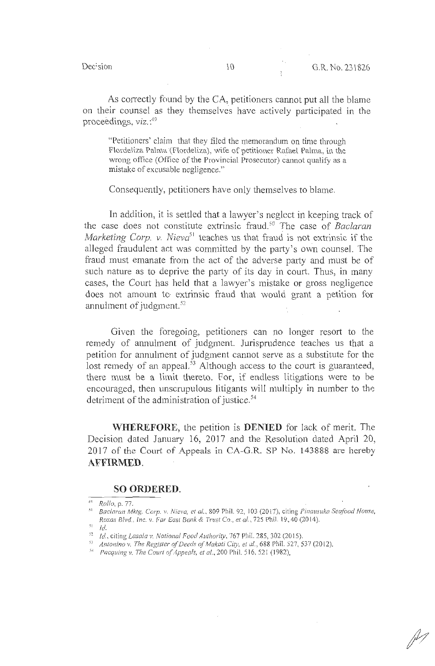Decision

As correctly found by the CA, petitioners cannot put all the blame on their counsel as they themselves have actively participated in the proceedings, *viz.* : 49

"Petitioners' claim that they filed the memorandum on time through Flordeliza Palma (Flordeliza), wife of petitioner Rafael Palma, in the wrong office (Office of the Provincial Prosecutor) cannot qualify as a mistake of excusable negligence. "

Consequently, petitioners have only themselves to blame.

In addition, it is settled that a lawyer's neglect in keeping track of the case does not constitute extrinsic fraud.<sup>50</sup> The case of *Baclaran Marketing Corp. v. Nieva*<sup>51</sup> teaches us that fraud is not extrinsic if the alleged fraudulent act was committed by the party's own counsel. The fraud must emanate from the act of the adverse party and must be of such nature as to deprive the party of its day in court. Thus, in many cases, the Court has held that a lawyer's mistake or gross negligence does not amount to extrinsic fraud that would grant a petition for annulment of judgment. 52

Given the foregoing, petitioners can no longer resort to the remedy of annulment of judgment. Jurisprudence teaches us that a petition for annulment of judgment cannot serve as a substitute for the lost remedy of an appeal.<sup>53</sup> Although access to the court is guaranteed, there must be a limit thereto. For, if endless litigations were to be encouraged, then unscrupulous litigants will multiply in number to the detriment of the administration of justice.<sup>54</sup>

. **WHEREFORE,** the petition is **DENIED** for lack of merit. The Decision dated January 16, 2017 and the Resolution dated April 20, 2017 of the Court of Appeals in CA-G.R. SP No. 143888 are hereby **AFFIRMED.** 

### **SO ORDERED.**

<sup>4</sup> <sup>q</sup>*Rollo,* p. 77.

<sup>&</sup>lt;sup>50</sup> Baclaran Mktg. Corp. v. Nieva, et al., 809 Phil. 92, 103 (2017), citing Pinausuka Seafood House, *Roxas Blvd., Inc. v. Far East Bank & Trust Co., et al. ,* 725 Phil. 19, 40 (20 14).

 $1^{51}$  *Id.* 

<sup>~</sup> <sup>2</sup>*Id.,* c iting *Lasala v. National Food Authority,* 767 Phil. 285, 302(2015).

<sup>&</sup>lt;sup>53</sup> Antonino v. The Register of Deeds of Makati City, et al., 688 Phil. 527, 537 (2012).<br><sup>54</sup> *Pacquing v. The Court of Appeals, et al.,* 200 Phil. 516, 521 (1982).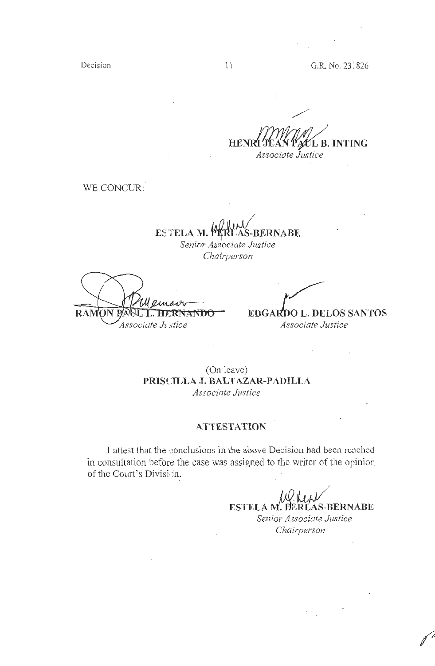Decision 11

G.R. No. 231826

**HEN LB. INTING**  *Associate Justice* 

WE CONCUR:

**ESTELA M. PARLAS-BERNABE** *Senior Associate Justice Chairperson.* 

**RAMON P VANDO** Associate Jı stice

·· /

**EDGARDO L. DELOS SANTOS** *Associate Justice* 

 $\cdot$ 

(On leave) **PRISCILLA J. BALTAZAR-PADILLA**  *Associate Justice* 

# **ATTESTATION**

I attest that the conclusions in the above Decision had been reached in consultation before the case was assigned to the writer of the opinion of the Court's Division.

**ESTELA M. PERLAS-BERNABE** *Senior Associate Justice Chairperson*